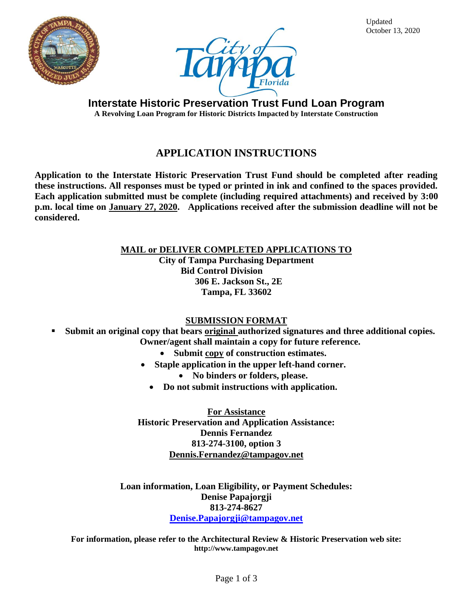



Updated October 13, 2020

**Interstate Historic Preservation Trust Fund Loan Program A Revolving Loan Program for Historic Districts Impacted by Interstate Construction**

# **APPLICATION INSTRUCTIONS**

**Application to the Interstate Historic Preservation Trust Fund should be completed after reading these instructions. All responses must be typed or printed in ink and confined to the spaces provided. Each application submitted must be complete (including required attachments) and received by 3:00 p.m. local time on January 27, 2020. Applications received after the submission deadline will not be considered.**

> **MAIL or DELIVER COMPLETED APPLICATIONS TO City of Tampa Purchasing Department Bid Control Division 306 E. Jackson St., 2E Tampa, FL 33602**

### **SUBMISSION FORMAT**

- **Submit an original copy that bears original authorized signatures and three additional copies. Owner/agent shall maintain a copy for future reference.**
	- **Submit copy of construction estimates.**
	- **Staple application in the upper left-hand corner.**
		- **No binders or folders, please.**
		- **Do not submit instructions with application.**

**For Assistance Historic Preservation and Application Assistance: Dennis Fernandez 813-274-3100, option 3 [Dennis.Fernandez@tampagov.net](mailto:Dennis.Fernandez@tampagov.net)**

**Loan information, Loan Eligibility, or Payment Schedules: Denise Papajorgji 813-274-8627 [Denise.Papajorgji@tampagov.net](mailto:Denise.Papajorgji@tampagov.net)**

**For information, please refer to the Architectural Review & Historic Preservation web site: http://www.tampagov.net**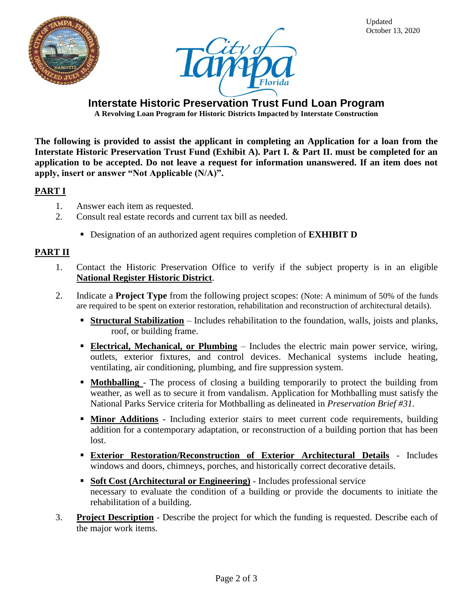



**Interstate Historic Preservation Trust Fund Loan Program**

**A Revolving Loan Program for Historic Districts Impacted by Interstate Construction**

**The following is provided to assist the applicant in completing an Application for a loan from the Interstate Historic Preservation Trust Fund (Exhibit A). Part I. & Part II. must be completed for an application to be accepted. Do not leave a request for information unanswered. If an item does not apply, insert or answer "Not Applicable (N/A)".** 

### **PART I**

- 1. Answer each item as requested.
- 2. Consult real estate records and current tax bill as needed.
	- Designation of an authorized agent requires completion of **EXHIBIT D**

#### **PART II**

- 1. Contact the Historic Preservation Office to verify if the subject property is in an eligible **National Register Historic District**.
- 2. Indicate a **Project Type** from the following project scopes: (Note: A minimum of 50% of the funds are required to be spent on exterior restoration, rehabilitation and reconstruction of architectural details).
	- **Example 1 Structural Stabilization** Includes rehabilitation to the foundation, walls, joists and planks, roof, or building frame.
	- **Electrical, Mechanical, or Plumbing** Includes the electric main power service, wiring, outlets, exterior fixtures, and control devices. Mechanical systems include heating, ventilating, air conditioning, plumbing, and fire suppression system.
	- **Mothballing** The process of closing a building temporarily to protect the building from weather, as well as to secure it from vandalism. Application for Mothballing must satisfy the National Parks Service criteria for Mothballing as delineated in *Preservation Brief #31.*
	- **II Minor Additions** Including exterior stairs to meet current code requirements, building addition for a contemporary adaptation, or reconstruction of a building portion that has been lost.
	- **Exterior Restoration/Reconstruction of Exterior Architectural Details** Includes windows and doors, chimneys, porches, and historically correct decorative details.
	- **Example 1 Soft Cost (Architectural or Engineering)** Includes professional service necessary to evaluate the condition of a building or provide the documents to initiate the rehabilitation of a building.
- 3. **Project Description** Describe the project for which the funding is requested. Describe each of the major work items.